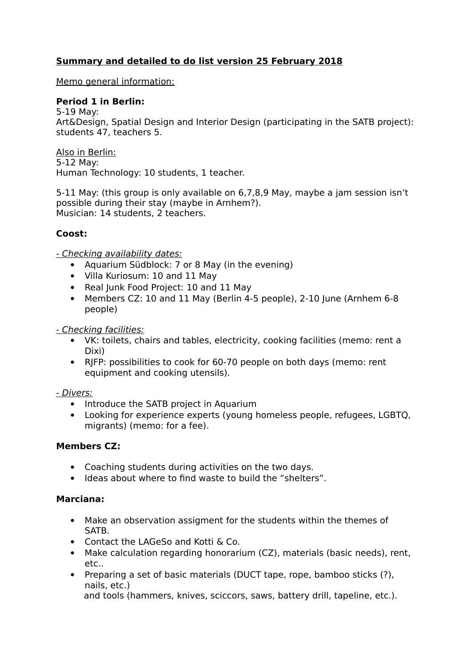# **Summary and detailed to do list version 25 February 2018**

Memo general information:

### **Period 1 in Berlin:**

5-19 May: Art&Design, Spatial Design and Interior Design (participating in the SATB project): students 47, teachers 5.

Also in Berlin: 5-12 May: Human Technology: 10 students, 1 teacher.

5-11 May: (this group is only available on 6,7,8,9 May, maybe a jam session isn't possible during their stay (maybe in Arnhem?). Musician: 14 students, 2 teachers.

### **Coost:**

- Checking availability dates:

- Aquarium Südblock: 7 or 8 May (in the evening)
- Villa Kuriosum: 10 and 11 May
- Real Junk Food Project: 10 and 11 May
- Members CZ: 10 and 11 May (Berlin 4-5 people), 2-10 June (Arnhem 6-8 people)

- Checking facilities:

- VK: toilets, chairs and tables, electricity, cooking facilities (memo: rent a Dixi)
- RJFP: possibilities to cook for 60-70 people on both days (memo: rent equipment and cooking utensils).

#### - Divers:

- Introduce the SATB project in Aquarium
- Looking for experience experts (young homeless people, refugees, LGBTQ, migrants) (memo: for a fee).

### **Members CZ:**

- Coaching students during activities on the two days.
- Ideas about where to find waste to build the "shelters".

### **Marciana:**

- Make an observation assigment for the students within the themes of SATB.
- Contact the LAGeSo and Kotti & Co.
- Make calculation regarding honorarium (CZ), materials (basic needs), rent, etc..
- Preparing a set of basic materials (DUCT tape, rope, bamboo sticks (?), nails, etc.)

and tools (hammers, knives, sciccors, saws, battery drill, tapeline, etc.).